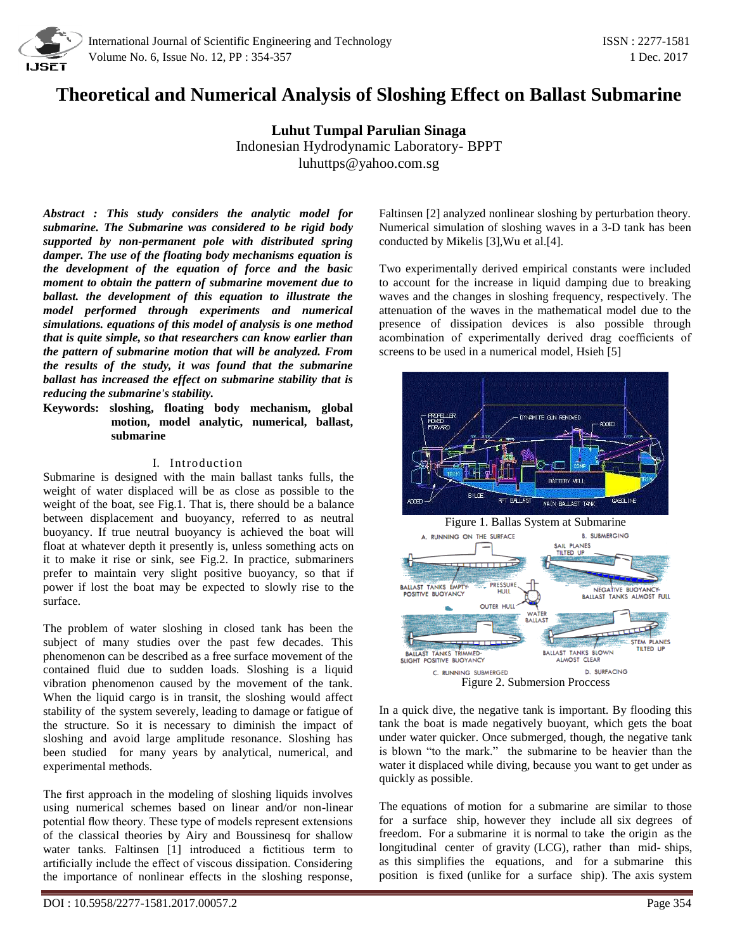

# **Theoretical and Numerical Analysis of Sloshing Effect on Ballast Submarine**

**Luhut Tumpal Parulian Sinaga** Indonesian Hydrodynamic Laboratory- BPPT luhuttps@yahoo.com.sg

*Abstract : This study considers the analytic model for submarine. The Submarine was considered to be rigid body supported by non-permanent pole with distributed spring damper. The use of the floating body mechanisms equation is the development of the equation of force and the basic moment to obtain the pattern of submarine movement due to ballast. the development of this equation to illustrate the model performed through experiments and numerical simulations. equations of this model of analysis is one method that is quite simple, so that researchers can know earlier than the pattern of submarine motion that will be analyzed. From the results of the study, it was found that the submarine ballast has increased the effect on submarine stability that is reducing the submarine's stability.*

**Keywords: sloshing, floating body mechanism, global motion, model analytic, numerical, ballast, submarine**

#### I. Introduction

Submarine is designed with the main ballast tanks fulls, the weight of water displaced will be as close as possible to the weight of the boat, see Fig.1. That is, there should be a balance between displacement and buoyancy, referred to as neutral buoyancy. If true neutral buoyancy is achieved the boat will float at whatever depth it presently is, unless something acts on it to make it rise or sink, see Fig.2. In practice, submariners prefer to maintain very slight positive buoyancy, so that if power if lost the boat may be expected to slowly rise to the surface.

The problem of water sloshing in closed tank has been the subject of many studies over the past few decades. This phenomenon can be described as a free surface movement of the contained fluid due to sudden loads. Sloshing is a liquid vibration phenomenon caused by the movement of the tank. When the liquid cargo is in transit, the sloshing would affect stability of the system severely, leading to damage or fatigue of the structure. So it is necessary to diminish the impact of sloshing and avoid large amplitude resonance. Sloshing has been studied for many years by analytical, numerical, and experimental methods.

The first approach in the modeling of sloshing liquids involves using numerical schemes based on linear and/or non-linear potential flow theory. These type of models represent extensions of the classical theories by Airy and Boussinesq for shallow water tanks. Faltinsen [1] introduced a fictitious term to artificially include the effect of viscous dissipation. Considering the importance of nonlinear effects in the sloshing response,

Faltinsen [2] analyzed nonlinear sloshing by perturbation theory. Numerical simulation of sloshing waves in a 3-D tank has been conducted by Mikelis [3],Wu et al.[4].

Two experimentally derived empirical constants were included to account for the increase in liquid damping due to breaking waves and the changes in sloshing frequency, respectively. The attenuation of the waves in the mathematical model due to the presence of dissipation devices is also possible through acombination of experimentally derived drag coefficients of screens to be used in a numerical model, Hsieh [5]



In a quick dive, the negative tank is important. By flooding this tank the boat is made negatively buoyant, which gets the boat under water quicker. Once submerged, though, the negative tank is blown "to the mark." the submarine to be heavier than the water it displaced while diving, because you want to get under as quickly as possible.

The equations of motion for a submarine are similar to those for a surface ship, however they include all six degrees of freedom. For a submarine it is normal to take the origin as the longitudinal center of gravity (LCG), rather than mid- ships, as this simplifies the equations, and for a submarine this position is fixed (unlike for a surface ship). The axis system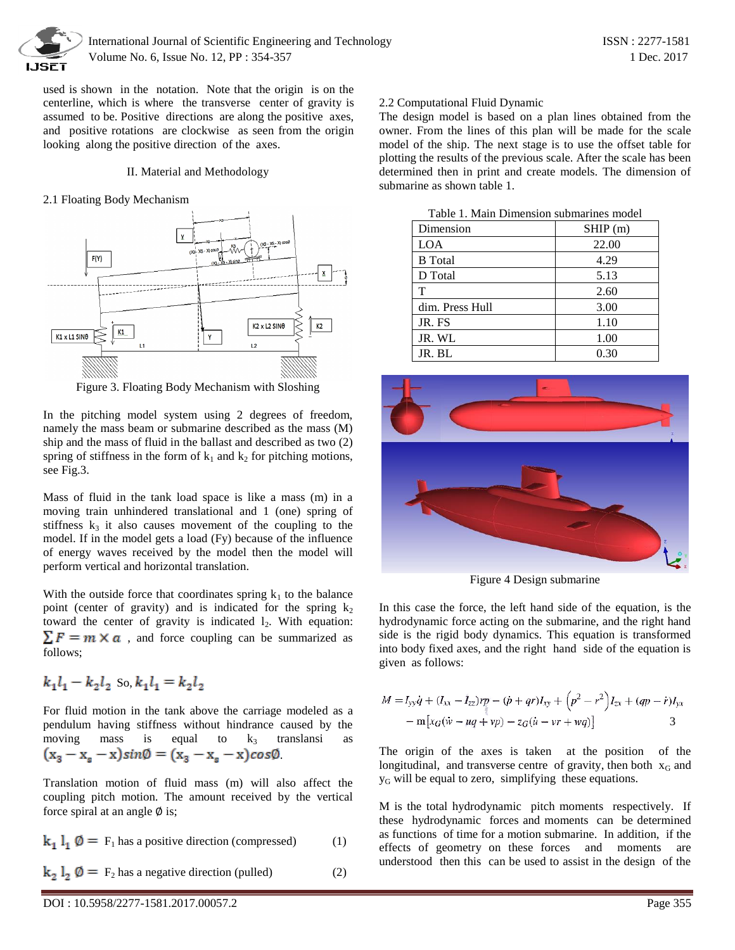

used is shown in the notation. Note that the origin is on the centerline, which is where the transverse center of gravity is assumed to be. Positive directions are along the positive axes, and positive rotations are clockwise as seen from the origin looking along the positive direction of the axes.

#### II. Material and Methodology

#### 2.1 Floating Body Mechanism



Figure 3. Floating Body Mechanism with Sloshing

In the pitching model system using 2 degrees of freedom, namely the mass beam or submarine described as the mass (M) ship and the mass of fluid in the ballast and described as two (2) spring of stiffness in the form of  $k_1$  and  $k_2$  for pitching motions, see Fig.3.

Mass of fluid in the tank load space is like a mass (m) in a moving train unhindered translational and 1 (one) spring of stiffness  $k_3$  it also causes movement of the coupling to the model. If in the model gets a load (Fy) because of the influence of energy waves received by the model then the model will perform vertical and horizontal translation.

With the outside force that coordinates spring  $k_1$  to the balance point (center of gravity) and is indicated for the spring  $k_2$ toward the center of gravity is indicated  $l_2$ . With equation:  $\sum F = m \times a$ , and force coupling can be summarized as follows;

$$
k_1l_1-k_2l_2\,\,{\rm So}, k_1l_1=k_2l_2
$$

For fluid motion in the tank above the carriage modeled as a pendulum having stiffness without hindrance caused by the moving mass is equal to  $k_3$  translansi as  $(x_3 - x_s - x)sin\emptyset = (x_3 - x_s - x)cos\emptyset$ 

Translation motion of fluid mass (m) will also affect the coupling pitch motion. The amount received by the vertical force spiral at an angle  $\emptyset$  is;

$$
\mathbf{k}_1 \, \mathbf{l}_1 \, \mathbf{0} = \mathbf{F}_1 \, \text{has a positive direction (compressed)} \tag{1}
$$

$$
\mathbf{k}_2 \, \mathbf{l}_2 \, \mathbf{0} = \, \mathbf{F}_2 \, \text{has a negative direction (palled)} \tag{2}
$$

## 2.2 Computational Fluid Dynamic

The design model is based on a plan lines obtained from the owner. From the lines of this plan will be made for the scale model of the ship. The next stage is to use the offset table for plotting the results of the previous scale. After the scale has been determined then in print and create models. The dimension of submarine as shown table 1.

Table 1. Main Dimension submarines model



Figure 4 Design submarine

In this case the force, the left hand side of the equation, is the hydrodynamic force acting on the submarine, and the right hand side is the rigid body dynamics. This equation is transformed into body fixed axes, and the right hand side of the equation is given as follows:

$$
M = I_{yy}\dot{q} + (I_{xx} - I_{zz})rp - (\dot{p} + qr)I_{xy} + (p^2 - r^2)I_{zx} + (qp - \dot{r})I_{yx}
$$
  
- m[x<sub>G</sub>(\dot{w} - uq + vp) - z<sub>G</sub>(\dot{u} - vr + wq)]

The origin of the axes is taken at the position of the longitudinal, and transverse centre of gravity, then both  $x_G$  and  $y<sub>G</sub>$  will be equal to zero, simplifying these equations.

M is the total hydrodynamic pitch moments respectively. If these hydrodynamic forces and moments can be determined as functions of time for a motion submarine. In addition, if the effects of geometry on these forces and moments are understood then this can be used to assist in the design of the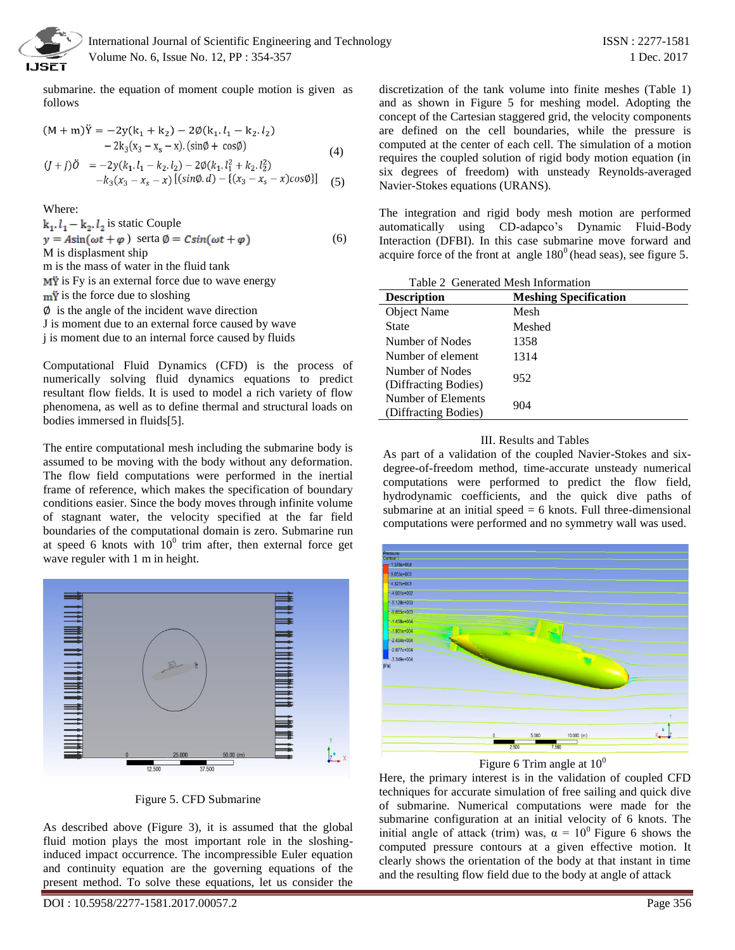

 International Journal of Scientific Engineering and Technology ISSN : 2277-1581 Volume No. 6, Issue No. 12, PP : 354-357 1 Dec. 2017

submarine. the equation of moment couple motion is given as follows

$$
(M + m)\ddot{Y} = -2y(k_1 + k_2) - 2\emptyset(k_1 \cdot l_1 - k_2 \cdot l_2) - 2k_3(x_3 - x_s - x) \cdot (\sin\emptyset + \cos\emptyset) (4)
$$
  

$$
(J + j)\ddot{O} = -2y(k_1 \cdot l_1 - k_2 \cdot l_2) - 2\emptyset(k_1 \cdot l_1^2 + k_2 \cdot l_2^2) -k_3(x_3 - x_s - x) [(\sin\emptyset \cdot d) - \{(x_3 - x_s - x)\cos\emptyset\}]
$$
(5)

Where:

 $k_1, l_1 - k_2, l_2$  is static Couple  $y = A\sin(\omega t + \varphi)$  serta  $\varphi = C\sin(\omega t + \varphi)$  (6) M is displasment ship

m is the mass of water in the fluid tank  $\overrightarrow{My}$  is Fy is an external force due to wave energy

 $m\ddot{y}$  is the force due to sloshing

 $\emptyset$  is the angle of the incident wave direction

J is moment due to an external force caused by wave

j is moment due to an internal force caused by fluids

Computational Fluid Dynamics (CFD) is the process of numerically solving fluid dynamics equations to predict resultant flow fields. It is used to model a rich variety of flow phenomena, as well as to define thermal and structural loads on bodies immersed in fluids[5].

The entire computational mesh including the submarine body is assumed to be moving with the body without any deformation. The flow field computations were performed in the inertial frame of reference, which makes the specification of boundary conditions easier. Since the body moves through infinite volume of stagnant water, the velocity specified at the far field boundaries of the computational domain is zero. Submarine run at speed 6 knots with  $10^0$  trim after, then external force get wave reguler with 1 m in height.



Figure 5. CFD Submarine

As described above (Figure 3), it is assumed that the global fluid motion plays the most important role in the sloshinginduced impact occurrence. The incompressible Euler equation and continuity equation are the governing equations of the present method. To solve these equations, let us consider the

DOI : 10.5958/2277-1581.2017.00057.2 Page 356

discretization of the tank volume into finite meshes (Table 1) and as shown in Figure 5 for meshing model. Adopting the concept of the Cartesian staggered grid, the velocity components are defined on the cell boundaries, while the pressure is computed at the center of each cell. The simulation of a motion requires the coupled solution of rigid body motion equation (in six degrees of freedom) with unsteady Reynolds-averaged Navier-Stokes equations (URANS).

The integration and rigid body mesh motion are performed automatically using CD-adapco's Dynamic Fluid-Body Interaction (DFBI). In this case submarine move forward and acquire force of the front at angle  $180^\circ$  (head seas), see figure 5.

| Table 2 Generated Mesh Information         |                              |
|--------------------------------------------|------------------------------|
| <b>Description</b>                         | <b>Meshing Specification</b> |
| Object Name                                | Mesh                         |
| State                                      | Meshed                       |
| Number of Nodes                            | 1358                         |
| Number of element                          | 1314                         |
| Number of Nodes<br>(Diffracting Bodies)    | 952                          |
| Number of Elements<br>(Diffracting Bodies) | 904                          |

### III. Results and Tables

As part of a validation of the coupled Navier-Stokes and sixdegree-of-freedom method, time-accurate unsteady numerical computations were performed to predict the flow field, hydrodynamic coefficients, and the quick dive paths of submarine at an initial speed  $= 6$  knots. Full three-dimensional computations were performed and no symmetry wall was used.



Figure 6 Trim angle at  $10^0$ 

Here, the primary interest is in the validation of coupled CFD techniques for accurate simulation of free sailing and quick dive of submarine. Numerical computations were made for the submarine configuration at an initial velocity of 6 knots. The initial angle of attack (trim) was,  $\alpha = 10^{\circ}$  Figure 6 shows the computed pressure contours at a given effective motion. It clearly shows the orientation of the body at that instant in time and the resulting flow field due to the body at angle of attack